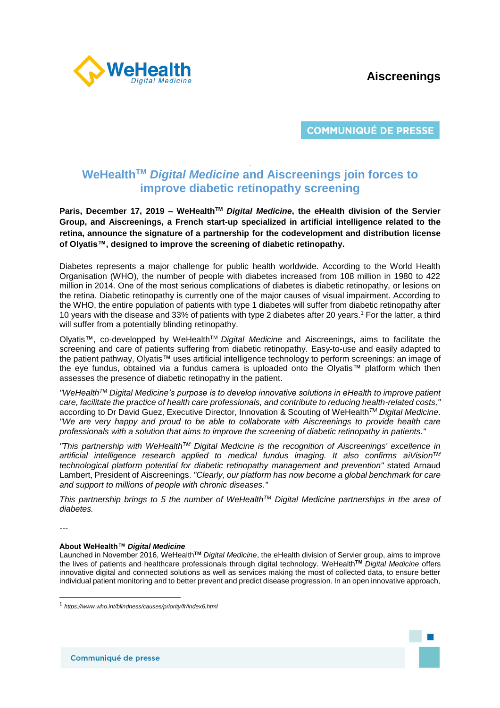# **Aiscreenings**



**COMMUNIQUÉ DE PRESSE** 

## . **WeHealthTM** *Digital Medicine* **and Aiscreenings join forces to improve diabetic retinopathy screening**

**Paris, December 17, 2019 – WeHealthTM** *Digital Medicine***, the eHealth division of the Servier Group, and Aiscreenings, a French start-up specialized in artificial intelligence related to the retina, announce the signature of a partnership for the codevelopment and distribution license of Olyatis™, designed to improve the screening of diabetic retinopathy.** 

Diabetes represents a major challenge for public health worldwide. According to the World Health Organisation (WHO), the number of people with diabetes increased from 108 million in 1980 to 422 million in 2014. One of the most serious complications of diabetes is diabetic retinopathy, or lesions on the retina. Diabetic retinopathy is currently one of the major causes of visual impairment. According to the WHO, the entire population of patients with type 1 diabetes will suffer from diabetic retinopathy after 10 years with the disease and 33% of patients with type 2 diabetes after 20 years.<sup>1</sup> For the latter, a third will suffer from a potentially blinding retinopathy.

Olyatis™, co-developped by WeHealthTM *Digital Medicine* and Aiscreenings, aims to facilitate the screening and care of patients suffering from diabetic retinopathy. Easy-to-use and easily adapted to the patient pathway, Olyatis™ uses artificial intelligence technology to perform screenings: an image of the eye fundus, obtained via a fundus camera is uploaded onto the Olyatis™ platform which then assesses the presence of diabetic retinopathy in the patient.

*"WeHealthTM Digital Medicine's purpose is to develop innovative solutions in eHealth to improve patient care, facilitate the practice of health care professionals, and contribute to reducing health-related costs,"*  according to Dr David Guez, Executive Director, Innovation & Scouting of WeHealth*TM Digital Medicine*. *"We are very happy and proud to be able to collaborate with Aiscreenings to provide health care professionals with a solution that aims to improve the screening of diabetic retinopathy in patients."* 

*"This partnership with WeHealthTM Digital Medicine is the recognition of Aiscreenings' excellence in artificial intelligence research applied to medical fundus imaging. It also confirms aiVisionTM technological platform potential for diabetic retinopathy management and prevention"* stated Arnaud Lambert, President of Aiscreenings. *"Clearly, our platform has now become a global benchmark for care and support to millions of people with chronic diseases."* 

*This partnership brings to 5 the number of WeHealthTM Digital Medicine partnerships in the area of diabetes.*

*---*

l

### **About WeHealth™** *Digital Medicine*

Launched in November 2016, WeHealth**TM** *Digital Medicine*, the eHealth division of Servier group, aims to improve the lives of patients and healthcare professionals through digital technology. WeHealth**TM** *Digital Medicine* offers innovative digital and connected solutions as well as services making the most of collected data, to ensure better individual patient monitoring and to better prevent and predict disease progression. In an open innovative approach,

<sup>1</sup> *https://www.who.int/blindness/causes/priority/fr/index6.html*